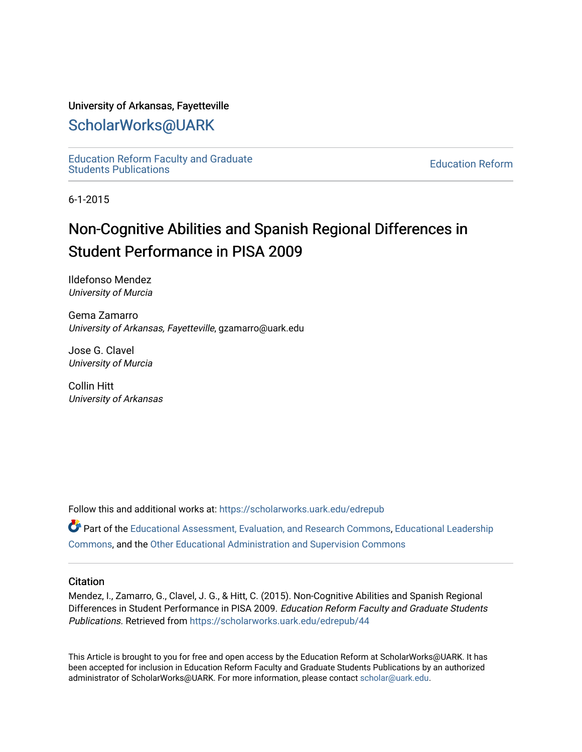#### University of Arkansas, Fayetteville

## [ScholarWorks@UARK](https://scholarworks.uark.edu/)

[Education Reform Faculty and Graduate](https://scholarworks.uark.edu/edrepub)  [Education Reform](https://scholarworks.uark.edu/edre) Faculty and Graduate<br>Students Publications

6-1-2015

# Non-Cognitive Abilities and Spanish Regional Differences in Student Performance in PISA 2009

Ildefonso Mendez University of Murcia

Gema Zamarro University of Arkansas, Fayetteville, gzamarro@uark.edu

Jose G. Clavel University of Murcia

Collin Hitt University of Arkansas

Follow this and additional works at: [https://scholarworks.uark.edu/edrepub](https://scholarworks.uark.edu/edrepub?utm_source=scholarworks.uark.edu%2Fedrepub%2F44&utm_medium=PDF&utm_campaign=PDFCoverPages) 

**Part of the [Educational Assessment, Evaluation, and Research Commons](http://network.bepress.com/hgg/discipline/796?utm_source=scholarworks.uark.edu%2Fedrepub%2F44&utm_medium=PDF&utm_campaign=PDFCoverPages), [Educational Leadership](http://network.bepress.com/hgg/discipline/1230?utm_source=scholarworks.uark.edu%2Fedrepub%2F44&utm_medium=PDF&utm_campaign=PDFCoverPages)** [Commons](http://network.bepress.com/hgg/discipline/1230?utm_source=scholarworks.uark.edu%2Fedrepub%2F44&utm_medium=PDF&utm_campaign=PDFCoverPages), and the [Other Educational Administration and Supervision Commons](http://network.bepress.com/hgg/discipline/794?utm_source=scholarworks.uark.edu%2Fedrepub%2F44&utm_medium=PDF&utm_campaign=PDFCoverPages) 

#### **Citation**

Mendez, I., Zamarro, G., Clavel, J. G., & Hitt, C. (2015). Non-Cognitive Abilities and Spanish Regional Differences in Student Performance in PISA 2009. Education Reform Faculty and Graduate Students Publications. Retrieved from [https://scholarworks.uark.edu/edrepub/44](https://scholarworks.uark.edu/edrepub/44?utm_source=scholarworks.uark.edu%2Fedrepub%2F44&utm_medium=PDF&utm_campaign=PDFCoverPages) 

This Article is brought to you for free and open access by the Education Reform at ScholarWorks@UARK. It has been accepted for inclusion in Education Reform Faculty and Graduate Students Publications by an authorized administrator of ScholarWorks@UARK. For more information, please contact [scholar@uark.edu](mailto:scholar@uark.edu).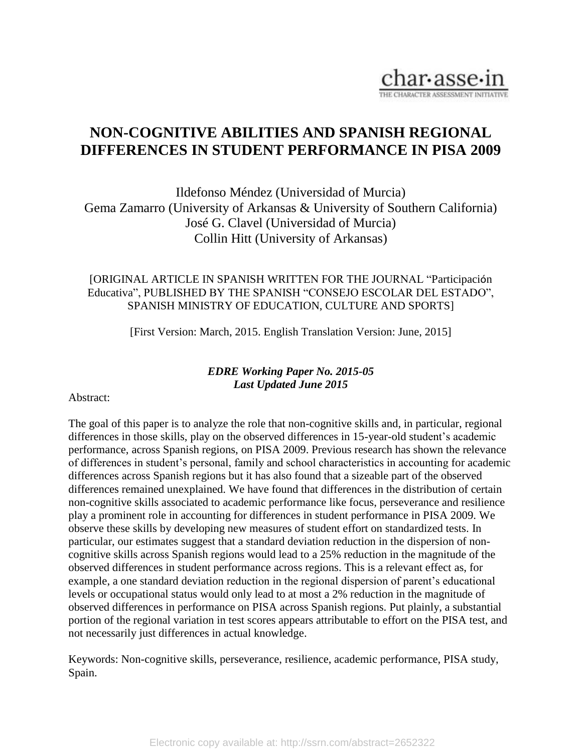

## **NON-COGNITIVE ABILITIES AND SPANISH REGIONAL DIFFERENCES IN STUDENT PERFORMANCE IN PISA 2009**

Ildefonso Méndez (Universidad of Murcia) Gema Zamarro (University of Arkansas & University of Southern California) José G. Clavel (Universidad of Murcia) Collin Hitt (University of Arkansas)

### [ORIGINAL ARTICLE IN SPANISH WRITTEN FOR THE JOURNAL "Participación Educativa", PUBLISHED BY THE SPANISH "CONSEJO ESCOLAR DEL ESTADO", SPANISH MINISTRY OF EDUCATION, CULTURE AND SPORTS]

[First Version: March, 2015. English Translation Version: June, 2015]

### *EDRE Working Paper No. 2015-05 Last Updated June 2015*

### Abstract:

The goal of this paper is to analyze the role that non-cognitive skills and, in particular, regional differences in those skills, play on the observed differences in 15-year-old student's academic performance, across Spanish regions, on PISA 2009. Previous research has shown the relevance of differences in student's personal, family and school characteristics in accounting for academic differences across Spanish regions but it has also found that a sizeable part of the observed differences remained unexplained. We have found that differences in the distribution of certain non-cognitive skills associated to academic performance like focus, perseverance and resilience play a prominent role in accounting for differences in student performance in PISA 2009. We observe these skills by developing new measures of student effort on standardized tests. In particular, our estimates suggest that a standard deviation reduction in the dispersion of noncognitive skills across Spanish regions would lead to a 25% reduction in the magnitude of the observed differences in student performance across regions. This is a relevant effect as, for example, a one standard deviation reduction in the regional dispersion of parent's educational levels or occupational status would only lead to at most a 2% reduction in the magnitude of observed differences in performance on PISA across Spanish regions. Put plainly, a substantial portion of the regional variation in test scores appears attributable to effort on the PISA test, and not necessarily just differences in actual knowledge.

Keywords: Non-cognitive skills, perseverance, resilience, academic performance, PISA study, Spain.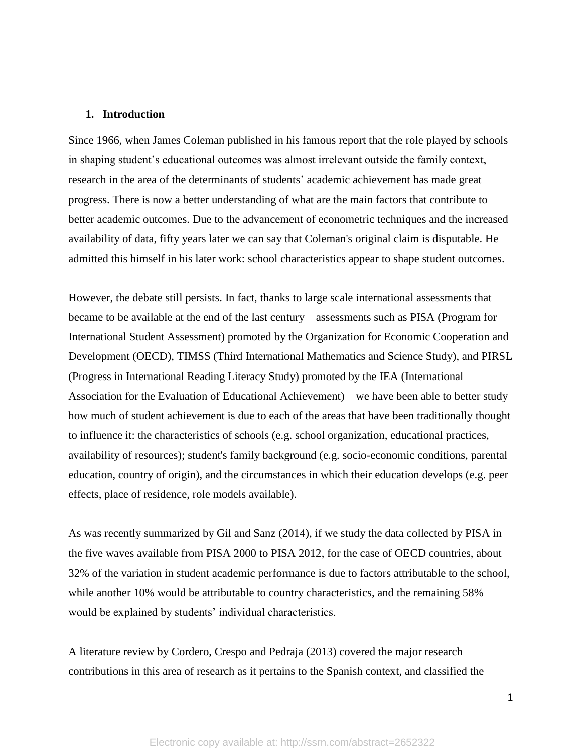#### **1. Introduction**

Since 1966, when James Coleman published in his famous report that the role played by schools in shaping student's educational outcomes was almost irrelevant outside the family context, research in the area of the determinants of students' academic achievement has made great progress. There is now a better understanding of what are the main factors that contribute to better academic outcomes. Due to the advancement of econometric techniques and the increased availability of data, fifty years later we can say that Coleman's original claim is disputable. He admitted this himself in his later work: school characteristics appear to shape student outcomes.

However, the debate still persists. In fact, thanks to large scale international assessments that became to be available at the end of the last century—assessments such as PISA (Program for International Student Assessment) promoted by the Organization for Economic Cooperation and Development (OECD), TIMSS (Third International Mathematics and Science Study), and PIRSL (Progress in International Reading Literacy Study) promoted by the IEA (International Association for the Evaluation of Educational Achievement)—we have been able to better study how much of student achievement is due to each of the areas that have been traditionally thought to influence it: the characteristics of schools (e.g. school organization, educational practices, availability of resources); student's family background (e.g. socio-economic conditions, parental education, country of origin), and the circumstances in which their education develops (e.g. peer effects, place of residence, role models available).

As was recently summarized by Gil and Sanz (2014), if we study the data collected by PISA in the five waves available from PISA 2000 to PISA 2012, for the case of OECD countries, about 32% of the variation in student academic performance is due to factors attributable to the school, while another 10% would be attributable to country characteristics, and the remaining 58% would be explained by students' individual characteristics.

A literature review by Cordero, Crespo and Pedraja (2013) covered the major research contributions in this area of research as it pertains to the Spanish context, and classified the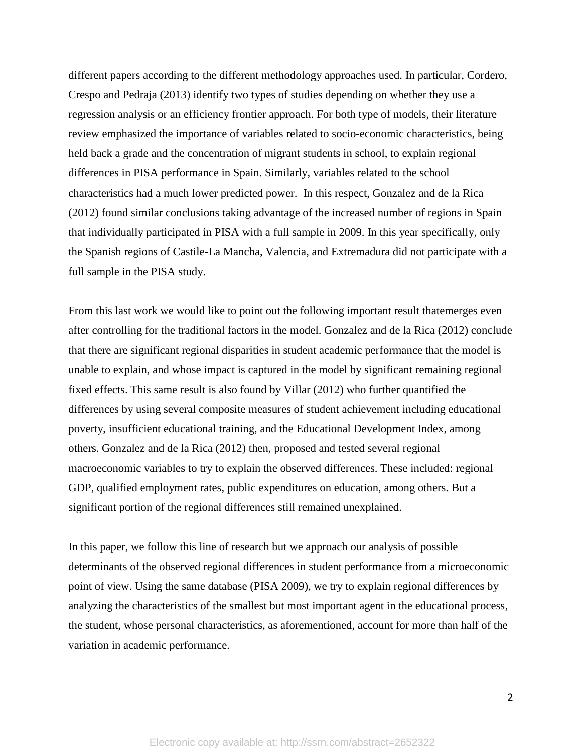different papers according to the different methodology approaches used. In particular, Cordero, Crespo and Pedraja (2013) identify two types of studies depending on whether they use a regression analysis or an efficiency frontier approach. For both type of models, their literature review emphasized the importance of variables related to socio-economic characteristics, being held back a grade and the concentration of migrant students in school, to explain regional differences in PISA performance in Spain. Similarly, variables related to the school characteristics had a much lower predicted power. In this respect, Gonzalez and de la Rica (2012) found similar conclusions taking advantage of the increased number of regions in Spain that individually participated in PISA with a full sample in 2009. In this year specifically, only the Spanish regions of Castile-La Mancha, Valencia, and Extremadura did not participate with a full sample in the PISA study.

From this last work we would like to point out the following important result thatemerges even after controlling for the traditional factors in the model. Gonzalez and de la Rica (2012) conclude that there are significant regional disparities in student academic performance that the model is unable to explain, and whose impact is captured in the model by significant remaining regional fixed effects. This same result is also found by Villar (2012) who further quantified the differences by using several composite measures of student achievement including educational poverty, insufficient educational training, and the Educational Development Index, among others. Gonzalez and de la Rica (2012) then, proposed and tested several regional macroeconomic variables to try to explain the observed differences. These included: regional GDP, qualified employment rates, public expenditures on education, among others. But a significant portion of the regional differences still remained unexplained.

In this paper, we follow this line of research but we approach our analysis of possible determinants of the observed regional differences in student performance from a microeconomic point of view. Using the same database (PISA 2009), we try to explain regional differences by analyzing the characteristics of the smallest but most important agent in the educational process, the student, whose personal characteristics, as aforementioned, account for more than half of the variation in academic performance.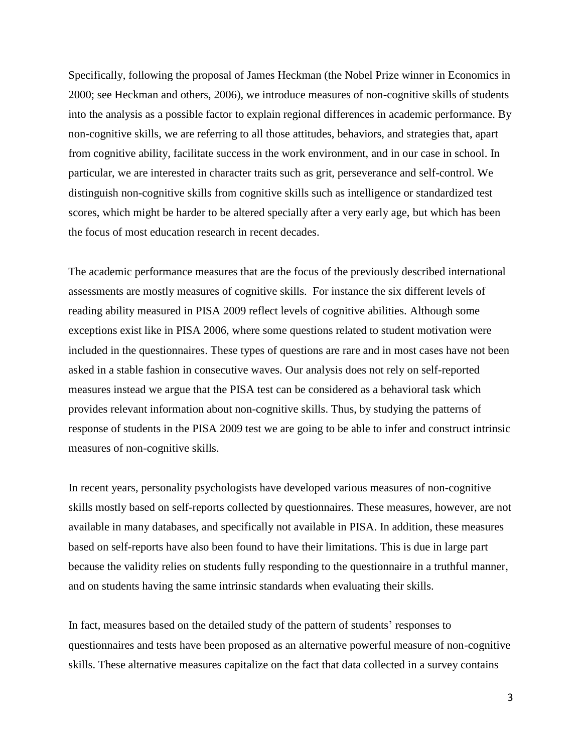Specifically, following the proposal of James Heckman (the Nobel Prize winner in Economics in 2000; see Heckman and others, 2006), we introduce measures of non-cognitive skills of students into the analysis as a possible factor to explain regional differences in academic performance. By non-cognitive skills, we are referring to all those attitudes, behaviors, and strategies that, apart from cognitive ability, facilitate success in the work environment, and in our case in school. In particular, we are interested in character traits such as grit, perseverance and self-control. We distinguish non-cognitive skills from cognitive skills such as intelligence or standardized test scores, which might be harder to be altered specially after a very early age, but which has been the focus of most education research in recent decades.

The academic performance measures that are the focus of the previously described international assessments are mostly measures of cognitive skills. For instance the six different levels of reading ability measured in PISA 2009 reflect levels of cognitive abilities. Although some exceptions exist like in PISA 2006, where some questions related to student motivation were included in the questionnaires. These types of questions are rare and in most cases have not been asked in a stable fashion in consecutive waves. Our analysis does not rely on self-reported measures instead we argue that the PISA test can be considered as a behavioral task which provides relevant information about non-cognitive skills. Thus, by studying the patterns of response of students in the PISA 2009 test we are going to be able to infer and construct intrinsic measures of non-cognitive skills.

In recent years, personality psychologists have developed various measures of non-cognitive skills mostly based on self-reports collected by questionnaires. These measures, however, are not available in many databases, and specifically not available in PISA. In addition, these measures based on self-reports have also been found to have their limitations. This is due in large part because the validity relies on students fully responding to the questionnaire in a truthful manner, and on students having the same intrinsic standards when evaluating their skills.

In fact, measures based on the detailed study of the pattern of students' responses to questionnaires and tests have been proposed as an alternative powerful measure of non-cognitive skills. These alternative measures capitalize on the fact that data collected in a survey contains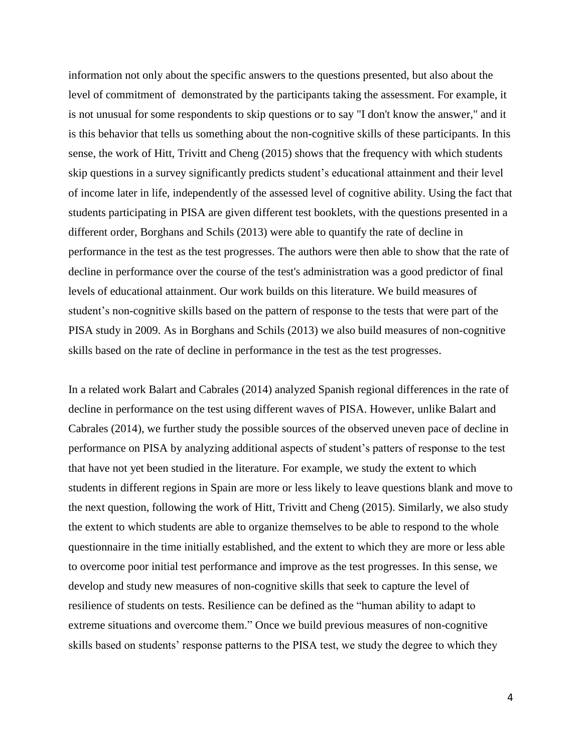information not only about the specific answers to the questions presented, but also about the level of commitment of demonstrated by the participants taking the assessment. For example, it is not unusual for some respondents to skip questions or to say "I don't know the answer," and it is this behavior that tells us something about the non-cognitive skills of these participants. In this sense, the work of Hitt, Trivitt and Cheng (2015) shows that the frequency with which students skip questions in a survey significantly predicts student's educational attainment and their level of income later in life, independently of the assessed level of cognitive ability. Using the fact that students participating in PISA are given different test booklets, with the questions presented in a different order, Borghans and Schils (2013) were able to quantify the rate of decline in performance in the test as the test progresses. The authors were then able to show that the rate of decline in performance over the course of the test's administration was a good predictor of final levels of educational attainment. Our work builds on this literature. We build measures of student's non-cognitive skills based on the pattern of response to the tests that were part of the PISA study in 2009. As in Borghans and Schils (2013) we also build measures of non-cognitive skills based on the rate of decline in performance in the test as the test progresses.

In a related work Balart and Cabrales (2014) analyzed Spanish regional differences in the rate of decline in performance on the test using different waves of PISA. However, unlike Balart and Cabrales (2014), we further study the possible sources of the observed uneven pace of decline in performance on PISA by analyzing additional aspects of student's patters of response to the test that have not yet been studied in the literature. For example, we study the extent to which students in different regions in Spain are more or less likely to leave questions blank and move to the next question, following the work of Hitt, Trivitt and Cheng (2015). Similarly, we also study the extent to which students are able to organize themselves to be able to respond to the whole questionnaire in the time initially established, and the extent to which they are more or less able to overcome poor initial test performance and improve as the test progresses. In this sense, we develop and study new measures of non-cognitive skills that seek to capture the level of resilience of students on tests. Resilience can be defined as the "human ability to adapt to extreme situations and overcome them." Once we build previous measures of non-cognitive skills based on students' response patterns to the PISA test, we study the degree to which they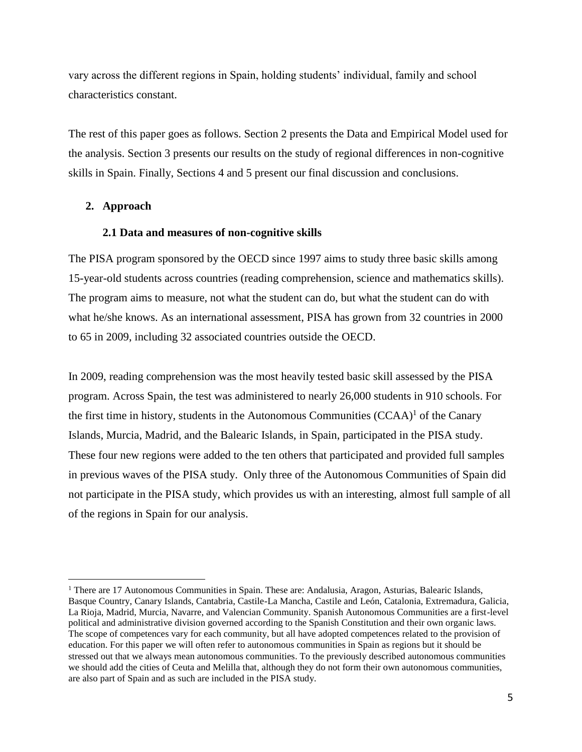vary across the different regions in Spain, holding students' individual, family and school characteristics constant.

The rest of this paper goes as follows. Section 2 presents the Data and Empirical Model used for the analysis. Section 3 presents our results on the study of regional differences in non-cognitive skills in Spain. Finally, Sections 4 and 5 present our final discussion and conclusions.

#### **2. Approach**

 $\overline{a}$ 

#### **2.1 Data and measures of non-cognitive skills**

The PISA program sponsored by the OECD since 1997 aims to study three basic skills among 15-year-old students across countries (reading comprehension, science and mathematics skills). The program aims to measure, not what the student can do, but what the student can do with what he/she knows. As an international assessment, PISA has grown from 32 countries in 2000 to 65 in 2009, including 32 associated countries outside the OECD.

In 2009, reading comprehension was the most heavily tested basic skill assessed by the PISA program. Across Spain, the test was administered to nearly 26,000 students in 910 schools. For the first time in history, students in the Autonomous Communities  $(CCAA)^{1}$  of the Canary Islands, Murcia, Madrid, and the Balearic Islands, in Spain, participated in the PISA study. These four new regions were added to the ten others that participated and provided full samples in previous waves of the PISA study. Only three of the Autonomous Communities of Spain did not participate in the PISA study, which provides us with an interesting, almost full sample of all of the regions in Spain for our analysis.

<sup>&</sup>lt;sup>1</sup> There are 17 Autonomous Communities in Spain. These are: Andalusia, Aragon, Asturias, Balearic Islands, Basque Country, Canary Islands, Cantabria, Castile-La Mancha, Castile and [León,](https://en.wikipedia.org/wiki/Castile_and_Le%C3%B3n) Catalonia, Extremadura, Galicia, La Rioja, Madrid, Murcia, Navarre, and Valencian Community. Spanish Autonomous Communities are a first-level political and administrative division governed according to the Spanish Constitution and their own organic laws. The scope of competences vary for each community, but all have adopted competences related to the provision of education. For this paper we will often refer to autonomous communities in Spain as regions but it should be stressed out that we always mean autonomous communities. To the previously described autonomous communities we should add the cities of Ceuta and Melilla that, although they do not form their own autonomous communities, are also part of Spain and as such are included in the PISA study.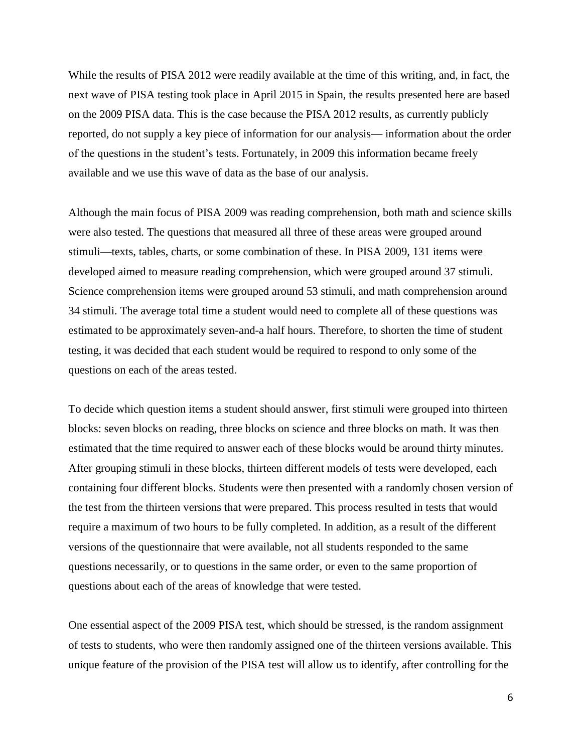While the results of PISA 2012 were readily available at the time of this writing, and, in fact, the next wave of PISA testing took place in April 2015 in Spain, the results presented here are based on the 2009 PISA data. This is the case because the PISA 2012 results, as currently publicly reported, do not supply a key piece of information for our analysis— information about the order of the questions in the student's tests. Fortunately, in 2009 this information became freely available and we use this wave of data as the base of our analysis.

Although the main focus of PISA 2009 was reading comprehension, both math and science skills were also tested. The questions that measured all three of these areas were grouped around stimuli—texts, tables, charts, or some combination of these. In PISA 2009, 131 items were developed aimed to measure reading comprehension, which were grouped around 37 stimuli. Science comprehension items were grouped around 53 stimuli, and math comprehension around 34 stimuli. The average total time a student would need to complete all of these questions was estimated to be approximately seven-and-a half hours. Therefore, to shorten the time of student testing, it was decided that each student would be required to respond to only some of the questions on each of the areas tested.

To decide which question items a student should answer, first stimuli were grouped into thirteen blocks: seven blocks on reading, three blocks on science and three blocks on math. It was then estimated that the time required to answer each of these blocks would be around thirty minutes. After grouping stimuli in these blocks, thirteen different models of tests were developed, each containing four different blocks. Students were then presented with a randomly chosen version of the test from the thirteen versions that were prepared. This process resulted in tests that would require a maximum of two hours to be fully completed. In addition, as a result of the different versions of the questionnaire that were available, not all students responded to the same questions necessarily, or to questions in the same order, or even to the same proportion of questions about each of the areas of knowledge that were tested.

One essential aspect of the 2009 PISA test, which should be stressed, is the random assignment of tests to students, who were then randomly assigned one of the thirteen versions available. This unique feature of the provision of the PISA test will allow us to identify, after controlling for the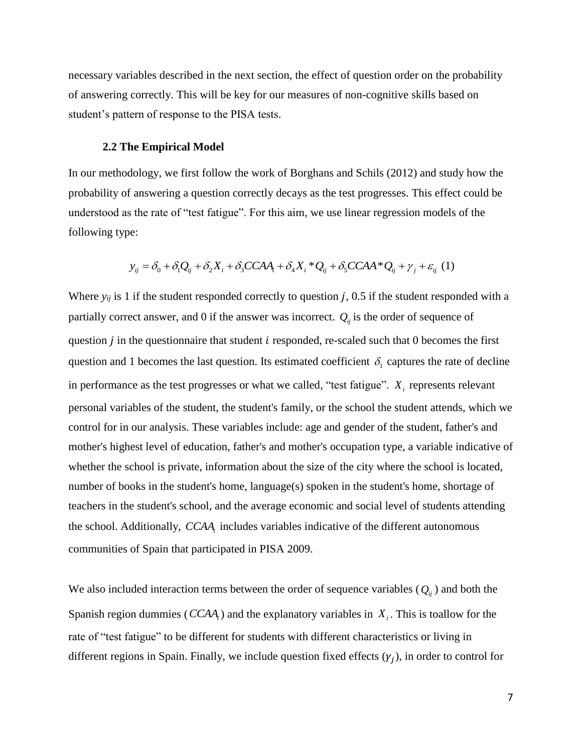necessary variables described in the next section, the effect of question order on the probability of answering correctly. This will be key for our measures of non-cognitive skills based on student's pattern of response to the PISA tests.

#### **2.2 The Empirical Model**

In our methodology, we first follow the work of Borghans and Schils (2012) and study how the probability of answering a question correctly decays as the test progresses. This effect could be understood as the rate of "test fatigue". For this aim, we use linear regression models of the following type:

$$
y_{ij} = \delta_0 + \delta_1 Q_{ij} + \delta_2 X_i + \delta_3 CCAA_i + \delta_4 X_i^* Q_{ij} + \delta_5 CCAA^* Q_{ij} + \gamma_j + \varepsilon_{ij} (1)
$$

Where  $y_{ij}$  is 1 if the student responded correctly to question  $j$ , 0.5 if the student responded with a partially correct answer, and 0 if the answer was incorrect.  $Q_{ij}$  is the order of sequence of question  $i$  in the questionnaire that student  $i$  responded, re-scaled such that 0 becomes the first question and 1 becomes the last question. Its estimated coefficient  $\delta_1$  captures the rate of decline in performance as the test progresses or what we called, "test fatigue".  $X_i$  represents relevant personal variables of the student, the student's family, or the school the student attends, which we control for in our analysis. These variables include: age and gender of the student, father's and mother's highest level of education, father's and mother's occupation type, a variable indicative of whether the school is private, information about the size of the city where the school is located, number of books in the student's home, language(s) spoken in the student's home, shortage of teachers in the student's school, and the average economic and social level of students attending the school. Additionally, *CCAA<sup>i</sup>* includes variables indicative of the different autonomous communities of Spain that participated in PISA 2009.

We also included interaction terms between the order of sequence variables  $(Q_{ij})$  and both the Spanish region dummies ( *CCAA<sup>i</sup>* ) and the explanatory variables in *Xi* . This is toallow for the rate of "test fatigue" to be different for students with different characteristics or living in different regions in Spain. Finally, we include question fixed effects  $(\gamma_j)$ , in order to control for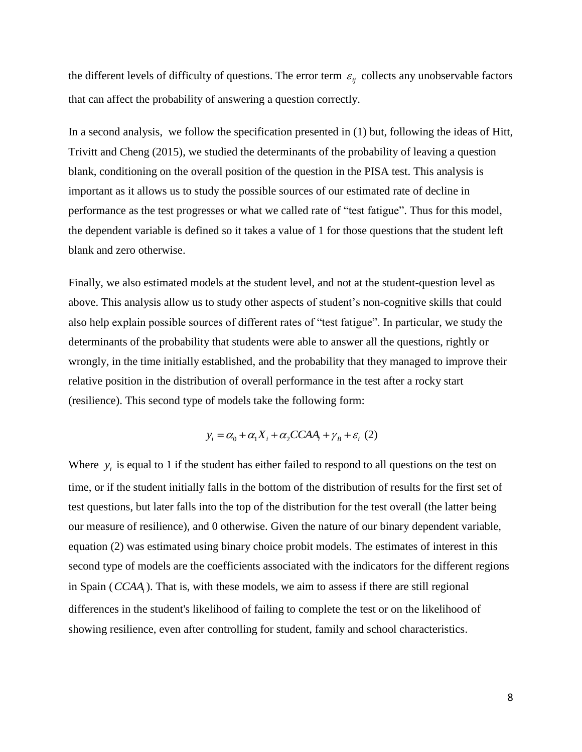the different levels of difficulty of questions. The error term  $\varepsilon_{ij}$  collects any unobservable factors that can affect the probability of answering a question correctly.

In a second analysis, we follow the specification presented in (1) but, following the ideas of Hitt, Trivitt and Cheng (2015), we studied the determinants of the probability of leaving a question blank, conditioning on the overall position of the question in the PISA test. This analysis is important as it allows us to study the possible sources of our estimated rate of decline in performance as the test progresses or what we called rate of "test fatigue". Thus for this model, the dependent variable is defined so it takes a value of 1 for those questions that the student left blank and zero otherwise.

Finally, we also estimated models at the student level, and not at the student-question level as above. This analysis allow us to study other aspects of student's non-cognitive skills that could also help explain possible sources of different rates of "test fatigue". In particular, we study the determinants of the probability that students were able to answer all the questions, rightly or wrongly, in the time initially established, and the probability that they managed to improve their relative position in the distribution of overall performance in the test after a rocky start (resilience). This second type of models take the following form:

$$
y_i = \alpha_0 + \alpha_1 X_i + \alpha_2 CCAA_i + \gamma_B + \varepsilon_i \tag{2}
$$

Where  $y_i$  is equal to 1 if the student has either failed to respond to all questions on the test on time, or if the student initially falls in the bottom of the distribution of results for the first set of test questions, but later falls into the top of the distribution for the test overall (the latter being our measure of resilience), and 0 otherwise. Given the nature of our binary dependent variable, equation (2) was estimated using binary choice probit models. The estimates of interest in this second type of models are the coefficients associated with the indicators for the different regions in Spain ( *CCAA<sup>i</sup>* ). That is, with these models, we aim to assess if there are still regional differences in the student's likelihood of failing to complete the test or on the likelihood of showing resilience, even after controlling for student, family and school characteristics.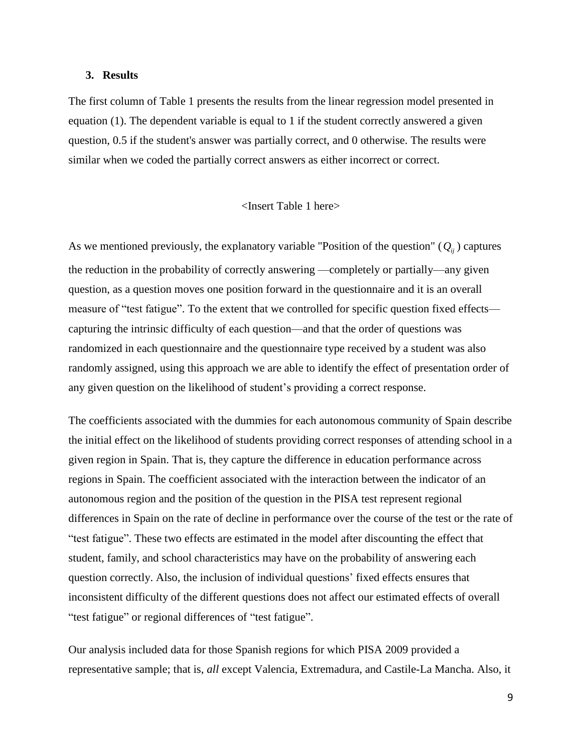#### **3. Results**

The first column of Table 1 presents the results from the linear regression model presented in equation (1). The dependent variable is equal to 1 if the student correctly answered a given question, 0.5 if the student's answer was partially correct, and 0 otherwise. The results were similar when we coded the partially correct answers as either incorrect or correct.

#### <Insert Table 1 here>

As we mentioned previously, the explanatory variable "Position of the question"  $(Q_{ij})$  captures the reduction in the probability of correctly answering —completely or partially—any given question, as a question moves one position forward in the questionnaire and it is an overall measure of "test fatigue". To the extent that we controlled for specific question fixed effects capturing the intrinsic difficulty of each question—and that the order of questions was randomized in each questionnaire and the questionnaire type received by a student was also randomly assigned, using this approach we are able to identify the effect of presentation order of any given question on the likelihood of student's providing a correct response.

The coefficients associated with the dummies for each autonomous community of Spain describe the initial effect on the likelihood of students providing correct responses of attending school in a given region in Spain. That is, they capture the difference in education performance across regions in Spain. The coefficient associated with the interaction between the indicator of an autonomous region and the position of the question in the PISA test represent regional differences in Spain on the rate of decline in performance over the course of the test or the rate of "test fatigue". These two effects are estimated in the model after discounting the effect that student, family, and school characteristics may have on the probability of answering each question correctly. Also, the inclusion of individual questions' fixed effects ensures that inconsistent difficulty of the different questions does not affect our estimated effects of overall "test fatigue" or regional differences of "test fatigue".

Our analysis included data for those Spanish regions for which PISA 2009 provided a representative sample; that is, *all* except Valencia, Extremadura, and Castile-La Mancha. Also, it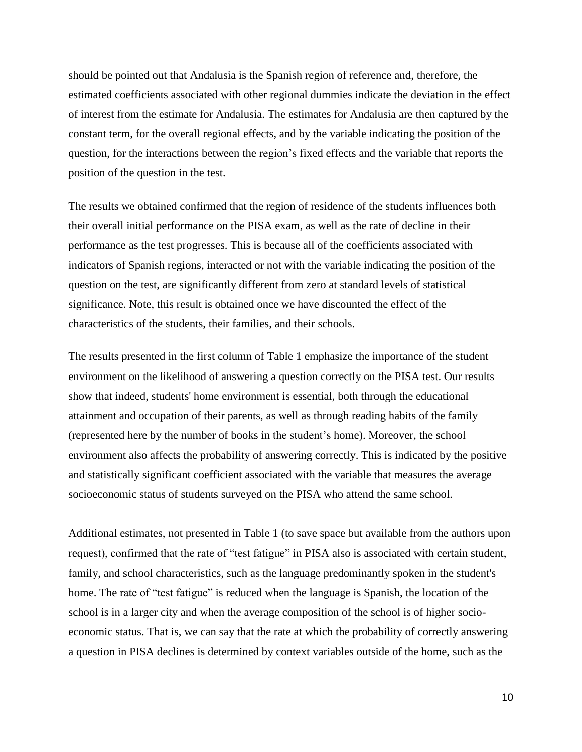should be pointed out that Andalusia is the Spanish region of reference and, therefore, the estimated coefficients associated with other regional dummies indicate the deviation in the effect of interest from the estimate for Andalusia. The estimates for Andalusia are then captured by the constant term, for the overall regional effects, and by the variable indicating the position of the question, for the interactions between the region's fixed effects and the variable that reports the position of the question in the test.

The results we obtained confirmed that the region of residence of the students influences both their overall initial performance on the PISA exam, as well as the rate of decline in their performance as the test progresses. This is because all of the coefficients associated with indicators of Spanish regions, interacted or not with the variable indicating the position of the question on the test, are significantly different from zero at standard levels of statistical significance. Note, this result is obtained once we have discounted the effect of the characteristics of the students, their families, and their schools.

The results presented in the first column of Table 1 emphasize the importance of the student environment on the likelihood of answering a question correctly on the PISA test. Our results show that indeed, students' home environment is essential, both through the educational attainment and occupation of their parents, as well as through reading habits of the family (represented here by the number of books in the student's home). Moreover, the school environment also affects the probability of answering correctly. This is indicated by the positive and statistically significant coefficient associated with the variable that measures the average socioeconomic status of students surveyed on the PISA who attend the same school.

Additional estimates, not presented in Table 1 (to save space but available from the authors upon request), confirmed that the rate of "test fatigue" in PISA also is associated with certain student, family, and school characteristics, such as the language predominantly spoken in the student's home. The rate of "test fatigue" is reduced when the language is Spanish, the location of the school is in a larger city and when the average composition of the school is of higher socioeconomic status. That is, we can say that the rate at which the probability of correctly answering a question in PISA declines is determined by context variables outside of the home, such as the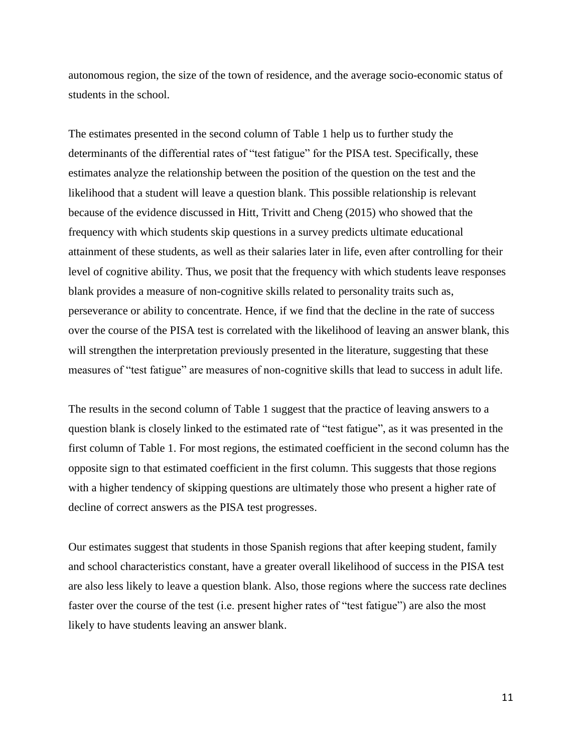autonomous region, the size of the town of residence, and the average socio-economic status of students in the school.

The estimates presented in the second column of Table 1 help us to further study the determinants of the differential rates of "test fatigue" for the PISA test. Specifically, these estimates analyze the relationship between the position of the question on the test and the likelihood that a student will leave a question blank. This possible relationship is relevant because of the evidence discussed in Hitt, Trivitt and Cheng (2015) who showed that the frequency with which students skip questions in a survey predicts ultimate educational attainment of these students, as well as their salaries later in life, even after controlling for their level of cognitive ability. Thus, we posit that the frequency with which students leave responses blank provides a measure of non-cognitive skills related to personality traits such as, perseverance or ability to concentrate. Hence, if we find that the decline in the rate of success over the course of the PISA test is correlated with the likelihood of leaving an answer blank, this will strengthen the interpretation previously presented in the literature, suggesting that these measures of "test fatigue" are measures of non-cognitive skills that lead to success in adult life.

The results in the second column of Table 1 suggest that the practice of leaving answers to a question blank is closely linked to the estimated rate of "test fatigue", as it was presented in the first column of Table 1. For most regions, the estimated coefficient in the second column has the opposite sign to that estimated coefficient in the first column. This suggests that those regions with a higher tendency of skipping questions are ultimately those who present a higher rate of decline of correct answers as the PISA test progresses.

Our estimates suggest that students in those Spanish regions that after keeping student, family and school characteristics constant, have a greater overall likelihood of success in the PISA test are also less likely to leave a question blank. Also, those regions where the success rate declines faster over the course of the test (i.e. present higher rates of "test fatigue") are also the most likely to have students leaving an answer blank.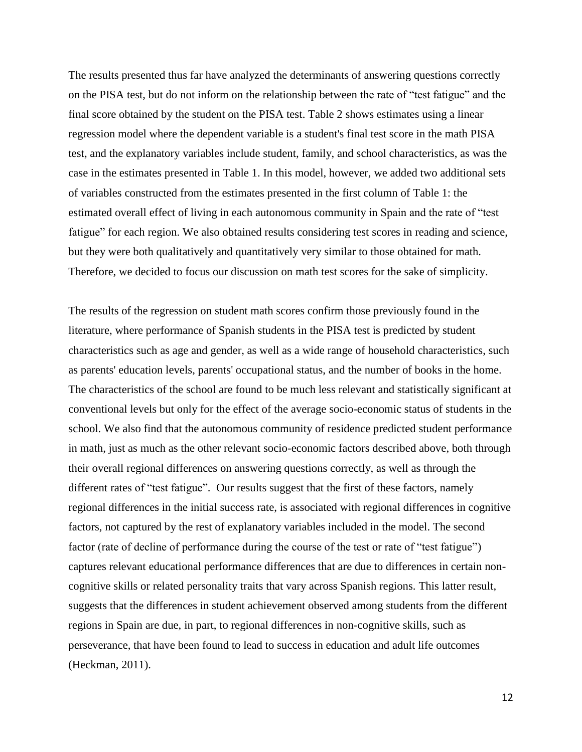The results presented thus far have analyzed the determinants of answering questions correctly on the PISA test, but do not inform on the relationship between the rate of "test fatigue" and the final score obtained by the student on the PISA test. Table 2 shows estimates using a linear regression model where the dependent variable is a student's final test score in the math PISA test, and the explanatory variables include student, family, and school characteristics, as was the case in the estimates presented in Table 1. In this model, however, we added two additional sets of variables constructed from the estimates presented in the first column of Table 1: the estimated overall effect of living in each autonomous community in Spain and the rate of "test fatigue" for each region. We also obtained results considering test scores in reading and science, but they were both qualitatively and quantitatively very similar to those obtained for math. Therefore, we decided to focus our discussion on math test scores for the sake of simplicity.

The results of the regression on student math scores confirm those previously found in the literature, where performance of Spanish students in the PISA test is predicted by student characteristics such as age and gender, as well as a wide range of household characteristics, such as parents' education levels, parents' occupational status, and the number of books in the home. The characteristics of the school are found to be much less relevant and statistically significant at conventional levels but only for the effect of the average socio-economic status of students in the school. We also find that the autonomous community of residence predicted student performance in math, just as much as the other relevant socio-economic factors described above, both through their overall regional differences on answering questions correctly, as well as through the different rates of "test fatigue". Our results suggest that the first of these factors, namely regional differences in the initial success rate, is associated with regional differences in cognitive factors, not captured by the rest of explanatory variables included in the model. The second factor (rate of decline of performance during the course of the test or rate of "test fatigue") captures relevant educational performance differences that are due to differences in certain noncognitive skills or related personality traits that vary across Spanish regions. This latter result, suggests that the differences in student achievement observed among students from the different regions in Spain are due, in part, to regional differences in non-cognitive skills, such as perseverance, that have been found to lead to success in education and adult life outcomes (Heckman, 2011).

12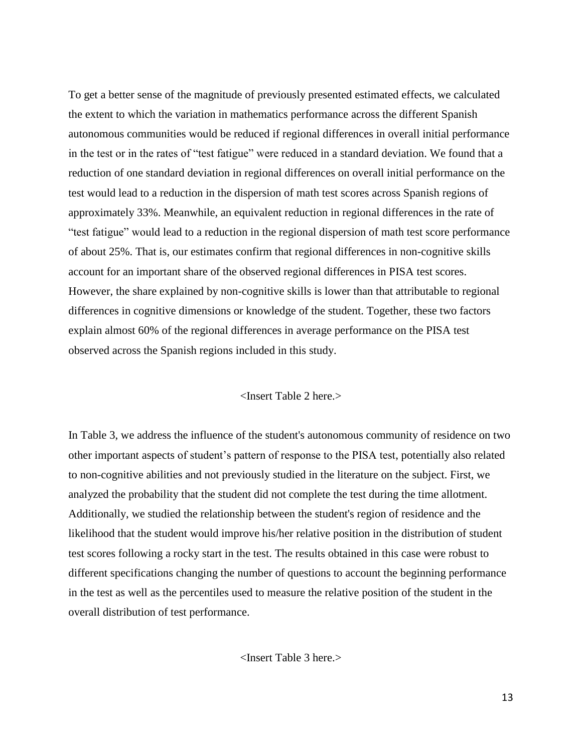To get a better sense of the magnitude of previously presented estimated effects, we calculated the extent to which the variation in mathematics performance across the different Spanish autonomous communities would be reduced if regional differences in overall initial performance in the test or in the rates of "test fatigue" were reduced in a standard deviation. We found that a reduction of one standard deviation in regional differences on overall initial performance on the test would lead to a reduction in the dispersion of math test scores across Spanish regions of approximately 33%. Meanwhile, an equivalent reduction in regional differences in the rate of "test fatigue" would lead to a reduction in the regional dispersion of math test score performance of about 25%. That is, our estimates confirm that regional differences in non-cognitive skills account for an important share of the observed regional differences in PISA test scores. However, the share explained by non-cognitive skills is lower than that attributable to regional differences in cognitive dimensions or knowledge of the student. Together, these two factors explain almost 60% of the regional differences in average performance on the PISA test observed across the Spanish regions included in this study.

#### <Insert Table 2 here.>

In Table 3, we address the influence of the student's autonomous community of residence on two other important aspects of student's pattern of response to the PISA test, potentially also related to non-cognitive abilities and not previously studied in the literature on the subject. First, we analyzed the probability that the student did not complete the test during the time allotment. Additionally, we studied the relationship between the student's region of residence and the likelihood that the student would improve his/her relative position in the distribution of student test scores following a rocky start in the test. The results obtained in this case were robust to different specifications changing the number of questions to account the beginning performance in the test as well as the percentiles used to measure the relative position of the student in the overall distribution of test performance.

<Insert Table 3 here.>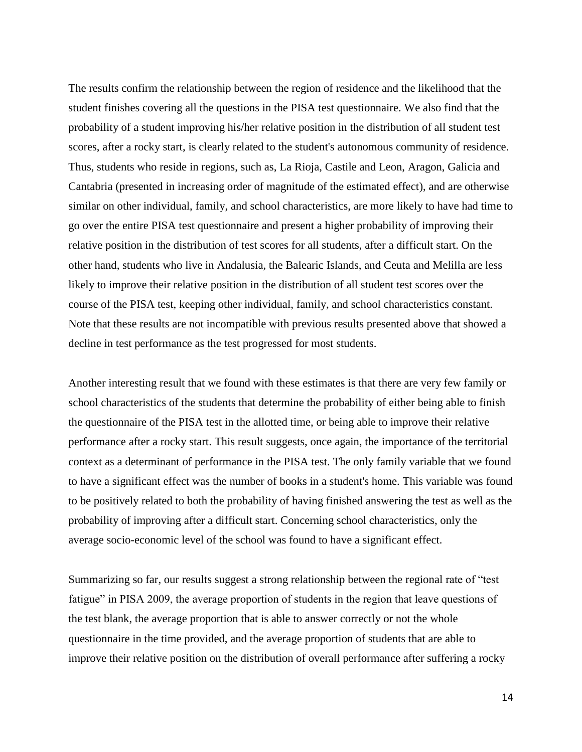The results confirm the relationship between the region of residence and the likelihood that the student finishes covering all the questions in the PISA test questionnaire. We also find that the probability of a student improving his/her relative position in the distribution of all student test scores, after a rocky start, is clearly related to the student's autonomous community of residence. Thus, students who reside in regions, such as, La Rioja, Castile and Leon, Aragon, Galicia and Cantabria (presented in increasing order of magnitude of the estimated effect), and are otherwise similar on other individual, family, and school characteristics, are more likely to have had time to go over the entire PISA test questionnaire and present a higher probability of improving their relative position in the distribution of test scores for all students, after a difficult start. On the other hand, students who live in Andalusia, the Balearic Islands, and Ceuta and Melilla are less likely to improve their relative position in the distribution of all student test scores over the course of the PISA test, keeping other individual, family, and school characteristics constant. Note that these results are not incompatible with previous results presented above that showed a decline in test performance as the test progressed for most students.

Another interesting result that we found with these estimates is that there are very few family or school characteristics of the students that determine the probability of either being able to finish the questionnaire of the PISA test in the allotted time, or being able to improve their relative performance after a rocky start. This result suggests, once again, the importance of the territorial context as a determinant of performance in the PISA test. The only family variable that we found to have a significant effect was the number of books in a student's home. This variable was found to be positively related to both the probability of having finished answering the test as well as the probability of improving after a difficult start. Concerning school characteristics, only the average socio-economic level of the school was found to have a significant effect.

Summarizing so far, our results suggest a strong relationship between the regional rate of "test fatigue" in PISA 2009, the average proportion of students in the region that leave questions of the test blank, the average proportion that is able to answer correctly or not the whole questionnaire in the time provided, and the average proportion of students that are able to improve their relative position on the distribution of overall performance after suffering a rocky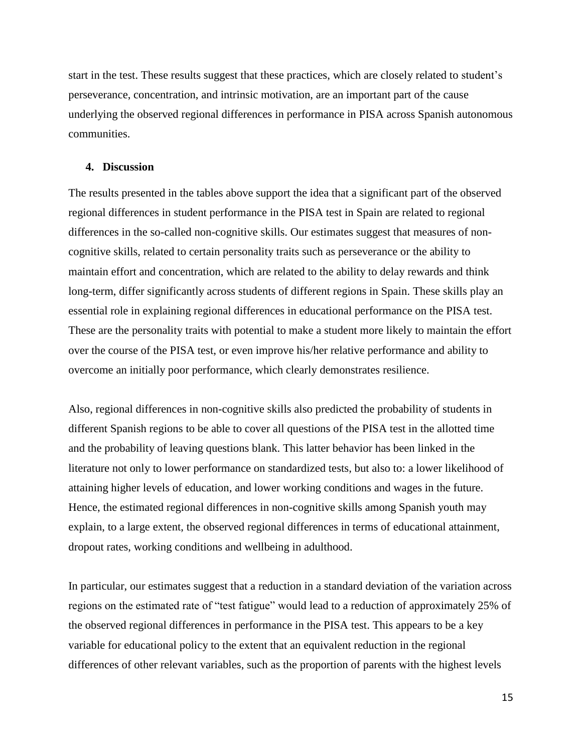start in the test. These results suggest that these practices, which are closely related to student's perseverance, concentration, and intrinsic motivation, are an important part of the cause underlying the observed regional differences in performance in PISA across Spanish autonomous communities.

#### **4. Discussion**

The results presented in the tables above support the idea that a significant part of the observed regional differences in student performance in the PISA test in Spain are related to regional differences in the so-called non-cognitive skills. Our estimates suggest that measures of noncognitive skills, related to certain personality traits such as perseverance or the ability to maintain effort and concentration, which are related to the ability to delay rewards and think long-term, differ significantly across students of different regions in Spain. These skills play an essential role in explaining regional differences in educational performance on the PISA test. These are the personality traits with potential to make a student more likely to maintain the effort over the course of the PISA test, or even improve his/her relative performance and ability to overcome an initially poor performance, which clearly demonstrates resilience.

Also, regional differences in non-cognitive skills also predicted the probability of students in different Spanish regions to be able to cover all questions of the PISA test in the allotted time and the probability of leaving questions blank. This latter behavior has been linked in the literature not only to lower performance on standardized tests, but also to: a lower likelihood of attaining higher levels of education, and lower working conditions and wages in the future. Hence, the estimated regional differences in non-cognitive skills among Spanish youth may explain, to a large extent, the observed regional differences in terms of educational attainment, dropout rates, working conditions and wellbeing in adulthood.

In particular, our estimates suggest that a reduction in a standard deviation of the variation across regions on the estimated rate of "test fatigue" would lead to a reduction of approximately 25% of the observed regional differences in performance in the PISA test. This appears to be a key variable for educational policy to the extent that an equivalent reduction in the regional differences of other relevant variables, such as the proportion of parents with the highest levels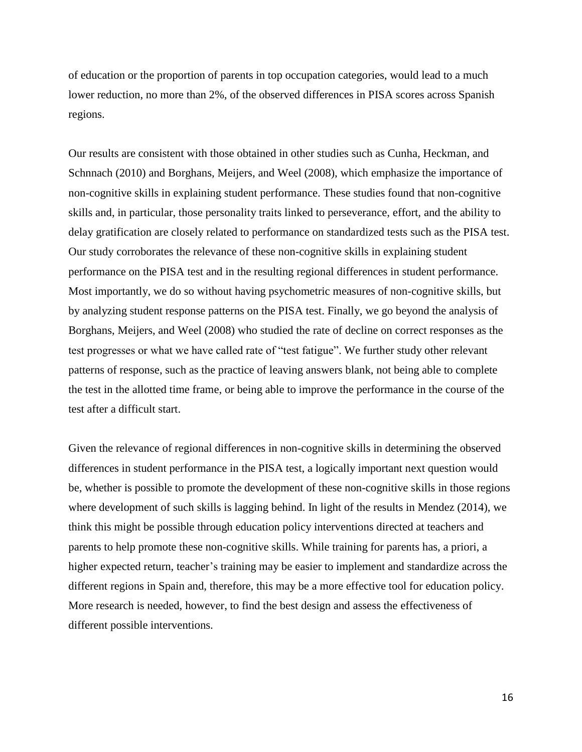of education or the proportion of parents in top occupation categories, would lead to a much lower reduction, no more than 2%, of the observed differences in PISA scores across Spanish regions.

Our results are consistent with those obtained in other studies such as Cunha, Heckman, and Schnnach (2010) and Borghans, Meijers, and Weel (2008), which emphasize the importance of non-cognitive skills in explaining student performance. These studies found that non-cognitive skills and, in particular, those personality traits linked to perseverance, effort, and the ability to delay gratification are closely related to performance on standardized tests such as the PISA test. Our study corroborates the relevance of these non-cognitive skills in explaining student performance on the PISA test and in the resulting regional differences in student performance. Most importantly, we do so without having psychometric measures of non-cognitive skills, but by analyzing student response patterns on the PISA test. Finally, we go beyond the analysis of Borghans, Meijers, and Weel (2008) who studied the rate of decline on correct responses as the test progresses or what we have called rate of "test fatigue". We further study other relevant patterns of response, such as the practice of leaving answers blank, not being able to complete the test in the allotted time frame, or being able to improve the performance in the course of the test after a difficult start.

Given the relevance of regional differences in non-cognitive skills in determining the observed differences in student performance in the PISA test, a logically important next question would be, whether is possible to promote the development of these non-cognitive skills in those regions where development of such skills is lagging behind. In light of the results in Mendez (2014), we think this might be possible through education policy interventions directed at teachers and parents to help promote these non-cognitive skills. While training for parents has, a priori, a higher expected return, teacher's training may be easier to implement and standardize across the different regions in Spain and, therefore, this may be a more effective tool for education policy. More research is needed, however, to find the best design and assess the effectiveness of different possible interventions.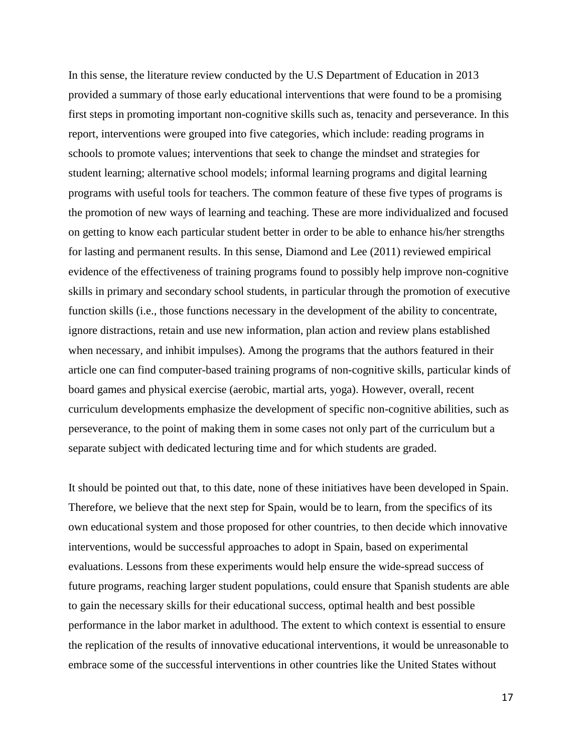In this sense, the literature review conducted by the U.S Department of Education in 2013 provided a summary of those early educational interventions that were found to be a promising first steps in promoting important non-cognitive skills such as, tenacity and perseverance. In this report, interventions were grouped into five categories, which include: reading programs in schools to promote values; interventions that seek to change the mindset and strategies for student learning; alternative school models; informal learning programs and digital learning programs with useful tools for teachers. The common feature of these five types of programs is the promotion of new ways of learning and teaching. These are more individualized and focused on getting to know each particular student better in order to be able to enhance his/her strengths for lasting and permanent results. In this sense, Diamond and Lee (2011) reviewed empirical evidence of the effectiveness of training programs found to possibly help improve non-cognitive skills in primary and secondary school students, in particular through the promotion of executive function skills (i.e., those functions necessary in the development of the ability to concentrate, ignore distractions, retain and use new information, plan action and review plans established when necessary, and inhibit impulses). Among the programs that the authors featured in their article one can find computer-based training programs of non-cognitive skills, particular kinds of board games and physical exercise (aerobic, martial arts, yoga). However, overall, recent curriculum developments emphasize the development of specific non-cognitive abilities, such as perseverance, to the point of making them in some cases not only part of the curriculum but a separate subject with dedicated lecturing time and for which students are graded.

It should be pointed out that, to this date, none of these initiatives have been developed in Spain. Therefore, we believe that the next step for Spain, would be to learn, from the specifics of its own educational system and those proposed for other countries, to then decide which innovative interventions, would be successful approaches to adopt in Spain, based on experimental evaluations. Lessons from these experiments would help ensure the wide-spread success of future programs, reaching larger student populations, could ensure that Spanish students are able to gain the necessary skills for their educational success, optimal health and best possible performance in the labor market in adulthood. The extent to which context is essential to ensure the replication of the results of innovative educational interventions, it would be unreasonable to embrace some of the successful interventions in other countries like the United States without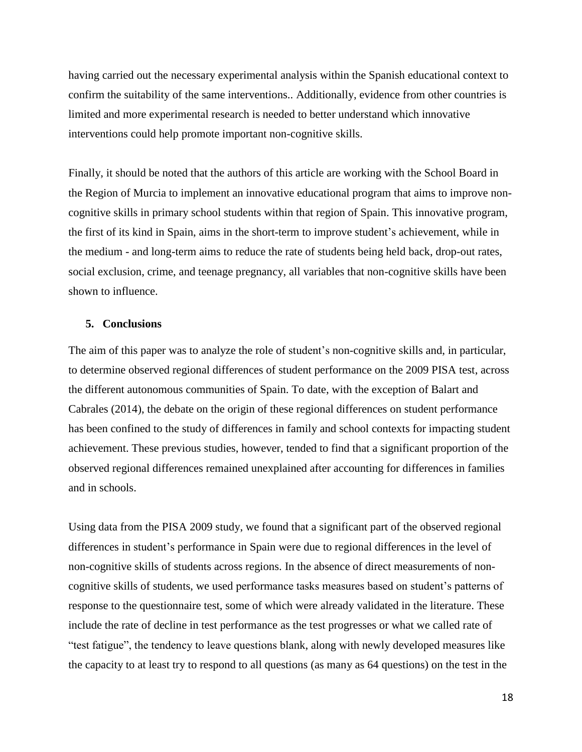having carried out the necessary experimental analysis within the Spanish educational context to confirm the suitability of the same interventions.. Additionally, evidence from other countries is limited and more experimental research is needed to better understand which innovative interventions could help promote important non-cognitive skills.

Finally, it should be noted that the authors of this article are working with the School Board in the Region of Murcia to implement an innovative educational program that aims to improve noncognitive skills in primary school students within that region of Spain. This innovative program, the first of its kind in Spain, aims in the short-term to improve student's achievement, while in the medium - and long-term aims to reduce the rate of students being held back, drop-out rates, social exclusion, crime, and teenage pregnancy, all variables that non-cognitive skills have been shown to influence.

#### **5. Conclusions**

The aim of this paper was to analyze the role of student's non-cognitive skills and, in particular, to determine observed regional differences of student performance on the 2009 PISA test, across the different autonomous communities of Spain. To date, with the exception of Balart and Cabrales (2014), the debate on the origin of these regional differences on student performance has been confined to the study of differences in family and school contexts for impacting student achievement. These previous studies, however, tended to find that a significant proportion of the observed regional differences remained unexplained after accounting for differences in families and in schools.

Using data from the PISA 2009 study, we found that a significant part of the observed regional differences in student's performance in Spain were due to regional differences in the level of non-cognitive skills of students across regions. In the absence of direct measurements of noncognitive skills of students, we used performance tasks measures based on student's patterns of response to the questionnaire test, some of which were already validated in the literature. These include the rate of decline in test performance as the test progresses or what we called rate of "test fatigue", the tendency to leave questions blank, along with newly developed measures like the capacity to at least try to respond to all questions (as many as 64 questions) on the test in the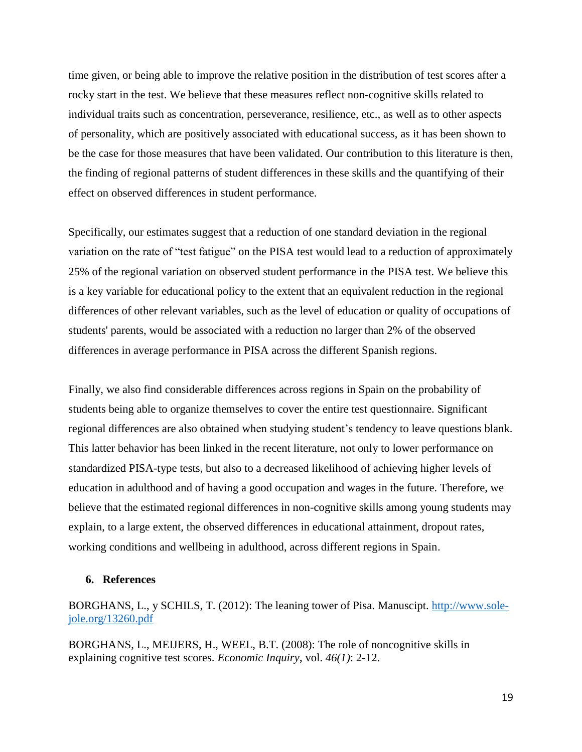time given, or being able to improve the relative position in the distribution of test scores after a rocky start in the test. We believe that these measures reflect non-cognitive skills related to individual traits such as concentration, perseverance, resilience, etc., as well as to other aspects of personality, which are positively associated with educational success, as it has been shown to be the case for those measures that have been validated. Our contribution to this literature is then, the finding of regional patterns of student differences in these skills and the quantifying of their effect on observed differences in student performance.

Specifically, our estimates suggest that a reduction of one standard deviation in the regional variation on the rate of "test fatigue" on the PISA test would lead to a reduction of approximately 25% of the regional variation on observed student performance in the PISA test. We believe this is a key variable for educational policy to the extent that an equivalent reduction in the regional differences of other relevant variables, such as the level of education or quality of occupations of students' parents, would be associated with a reduction no larger than 2% of the observed differences in average performance in PISA across the different Spanish regions.

Finally, we also find considerable differences across regions in Spain on the probability of students being able to organize themselves to cover the entire test questionnaire. Significant regional differences are also obtained when studying student's tendency to leave questions blank. This latter behavior has been linked in the recent literature, not only to lower performance on standardized PISA-type tests, but also to a decreased likelihood of achieving higher levels of education in adulthood and of having a good occupation and wages in the future. Therefore, we believe that the estimated regional differences in non-cognitive skills among young students may explain, to a large extent, the observed differences in educational attainment, dropout rates, working conditions and wellbeing in adulthood, across different regions in Spain.

#### **6. References**

BORGHANS, L., y SCHILS, T. (2012): The leaning tower of Pisa. Manuscipt. [http://www.sole](http://www.sole-jole.org/13260.pdf)[jole.org/13260.pdf](http://www.sole-jole.org/13260.pdf)

BORGHANS, L., MEIJERS, H., WEEL, B.T. (2008): The role of noncognitive skills in explaining cognitive test scores. *Economic Inquiry*, vol. *46(1)*: 2-12.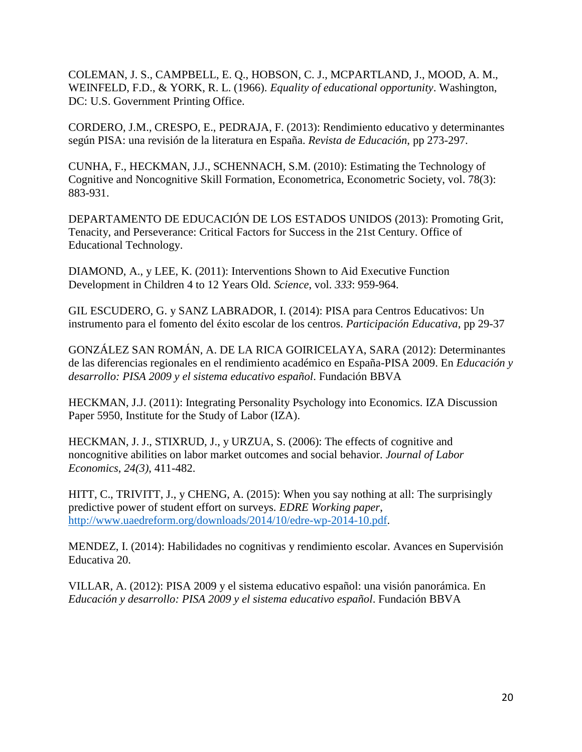COLEMAN, J. S., CAMPBELL, E. Q., HOBSON, C. J., MCPARTLAND, J., MOOD, A. M., WEINFELD, F.D., & YORK, R. L. (1966). *Equality of educational opportunity*. Washington, DC: U.S. Government Printing Office.

CORDERO, J.M., CRESPO, E., PEDRAJA, F. (2013): Rendimiento educativo y determinantes según PISA: una revisión de la literatura en España. *Revista de Educación*, pp 273-297.

CUNHA, F., HECKMAN, J.J., SCHENNACH, S.M. (2010): Estimating the Technology of Cognitive and Noncognitive Skill Formation, Econometrica, Econometric Society, vol. 78(3): 883-931.

DEPARTAMENTO DE EDUCACIÓN DE LOS ESTADOS UNIDOS (2013): Promoting Grit, Tenacity, and Perseverance: Critical Factors for Success in the 21st Century. Office of Educational Technology.

DIAMOND, A., y LEE, K. (2011): Interventions Shown to Aid Executive Function Development in Children 4 to 12 Years Old. *Science*, vol. *333*: 959-964.

GIL ESCUDERO, G. y SANZ LABRADOR, I. (2014): PISA para Centros Educativos: Un instrumento para el fomento del éxito escolar de los centros. *Participación Educativa*, pp 29-37

GONZÁLEZ SAN ROMÁN, A. DE LA RICA GOIRICELAYA, SARA (2012): Determinantes de las diferencias regionales en el rendimiento académico en España-PISA 2009. En *Educación y desarrollo: PISA 2009 y el sistema educativo español*. Fundación BBVA

HECKMAN, J.J. (2011): Integrating Personality Psychology into Economics. IZA Discussion Paper 5950, Institute for the Study of Labor (IZA).

HECKMAN, J. J., STIXRUD, J., y URZUA, S. (2006): The effects of cognitive and noncognitive abilities on labor market outcomes and social behavior. *Journal of Labor Economics*, *24(3)*, 411-482.

HITT, C., TRIVITT, J., y CHENG, A. (2015): When you say nothing at all: The surprisingly predictive power of student effort on surveys. *EDRE Working paper*, [http://www.uaedreform.org/downloads/2014/10/edre-wp-2014-10.pdf.](http://www.uaedreform.org/downloads/2014/10/edre-wp-2014-10.pdf)

MENDEZ, I. (2014): Habilidades no cognitivas y rendimiento escolar. Avances en Supervisión Educativa 20.

VILLAR, A. (2012): PISA 2009 y el sistema educativo español: una visión panorámica. En *Educación y desarrollo: PISA 2009 y el sistema educativo español*. Fundación BBVA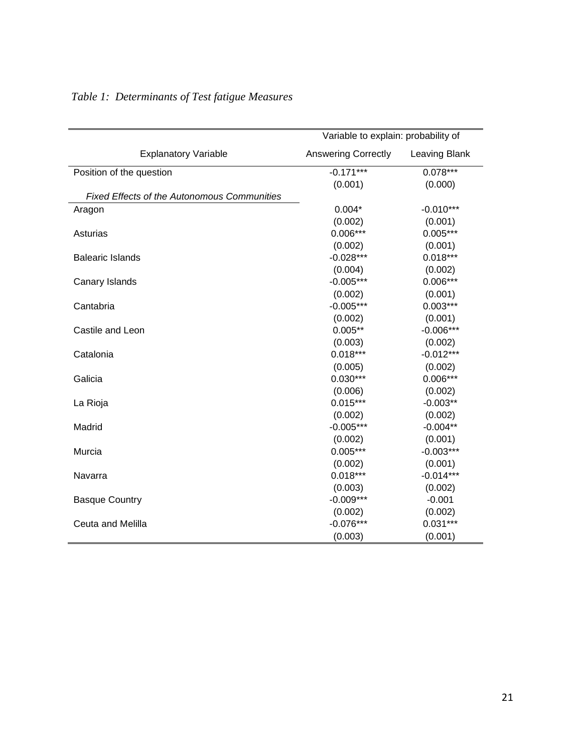|                                                    | Variable to explain: probability of |               |
|----------------------------------------------------|-------------------------------------|---------------|
| <b>Explanatory Variable</b>                        | <b>Answering Correctly</b>          | Leaving Blank |
| Position of the question                           | $-0.171***$                         | $0.078***$    |
|                                                    | (0.001)                             | (0.000)       |
| <b>Fixed Effects of the Autonomous Communities</b> |                                     |               |
| Aragon                                             | $0.004*$                            | $-0.010***$   |
|                                                    | (0.002)                             | (0.001)       |
| Asturias                                           | $0.006***$                          | $0.005***$    |
|                                                    | (0.002)                             | (0.001)       |
| <b>Balearic Islands</b>                            | $-0.028***$                         | $0.018***$    |
|                                                    | (0.004)                             | (0.002)       |
| Canary Islands                                     | $-0.005***$                         | $0.006***$    |
|                                                    | (0.002)                             | (0.001)       |
| Cantabria                                          | $-0.005***$                         | $0.003***$    |
|                                                    | (0.002)                             | (0.001)       |
| Castile and Leon                                   | $0.005**$                           | $-0.006***$   |
|                                                    | (0.003)                             | (0.002)       |
| Catalonia                                          | $0.018***$                          | $-0.012***$   |
|                                                    | (0.005)                             | (0.002)       |
| Galicia                                            | $0.030***$                          | $0.006***$    |
|                                                    | (0.006)                             | (0.002)       |
| La Rioja                                           | $0.015***$                          | $-0.003**$    |
|                                                    | (0.002)                             | (0.002)       |
| Madrid                                             | $-0.005***$                         | $-0.004**$    |
|                                                    | (0.002)                             | (0.001)       |
| Murcia                                             | $0.005***$                          | $-0.003***$   |
|                                                    | (0.002)                             | (0.001)       |
| Navarra                                            | $0.018***$                          | $-0.014***$   |
|                                                    | (0.003)                             | (0.002)       |
| <b>Basque Country</b>                              | $-0.009***$                         | $-0.001$      |
|                                                    | (0.002)                             | (0.002)       |
| Ceuta and Melilla                                  | $-0.076***$                         | $0.031***$    |
|                                                    | (0.003)                             | (0.001)       |

## *Table 1: Determinants of Test fatigue Measures*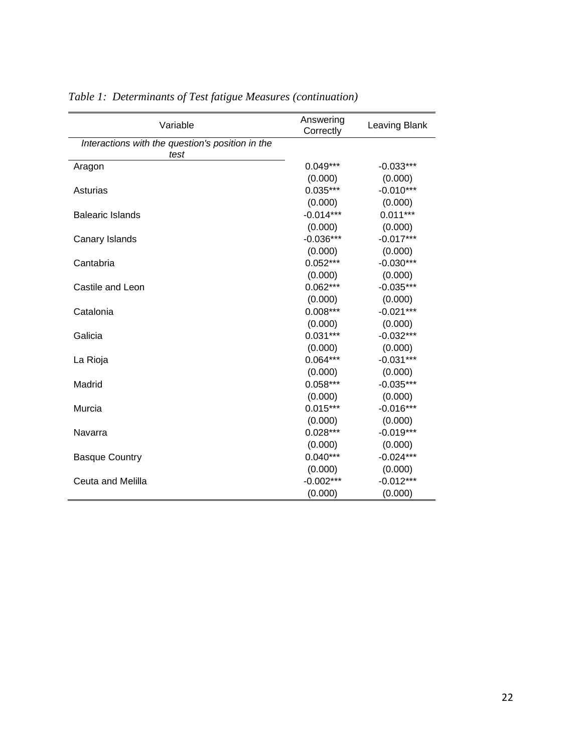| Variable                                         | Answering<br>Correctly | Leaving Blank |
|--------------------------------------------------|------------------------|---------------|
| Interactions with the question's position in the |                        |               |
| test                                             |                        |               |
| Aragon                                           | $0.049***$             | $-0.033***$   |
|                                                  | (0.000)                | (0.000)       |
| Asturias                                         | $0.035***$             | $-0.010***$   |
|                                                  | (0.000)                | (0.000)       |
| <b>Balearic Islands</b>                          | $-0.014***$            | $0.011***$    |
|                                                  | (0.000)                | (0.000)       |
| Canary Islands                                   | $-0.036***$            | $-0.017***$   |
|                                                  | (0.000)                | (0.000)       |
| Cantabria                                        | $0.052***$             | $-0.030***$   |
|                                                  | (0.000)                | (0.000)       |
| Castile and Leon                                 | $0.062***$             | $-0.035***$   |
|                                                  | (0.000)                | (0.000)       |
| Catalonia                                        | $0.008***$             | $-0.021***$   |
|                                                  | (0.000)                | (0.000)       |
| Galicia                                          | $0.031***$             | $-0.032***$   |
|                                                  | (0.000)                | (0.000)       |
| La Rioja                                         | $0.064***$             | $-0.031***$   |
|                                                  | (0.000)                | (0.000)       |
| Madrid                                           | $0.058***$             | $-0.035***$   |
|                                                  | (0.000)                | (0.000)       |
| Murcia                                           | $0.015***$             | $-0.016***$   |
|                                                  | (0.000)                | (0.000)       |
| Navarra                                          | $0.028***$             | $-0.019***$   |
|                                                  | (0.000)                | (0.000)       |
| <b>Basque Country</b>                            | $0.040***$             | $-0.024***$   |
|                                                  | (0.000)                | (0.000)       |
| Ceuta and Melilla                                | $-0.002***$            | $-0.012***$   |
|                                                  | (0.000)                | (0.000)       |

## *Table 1: Determinants of Test fatigue Measures (continuation)*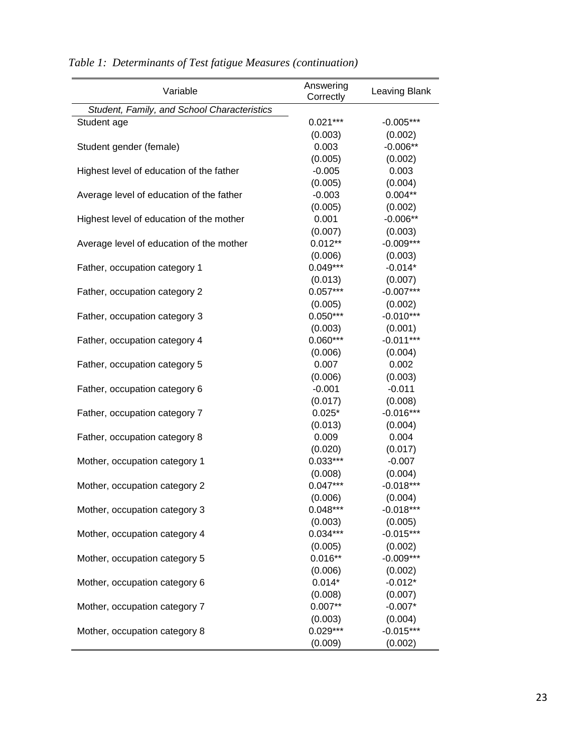*Table 1: Determinants of Test fatigue Measures (continuation)*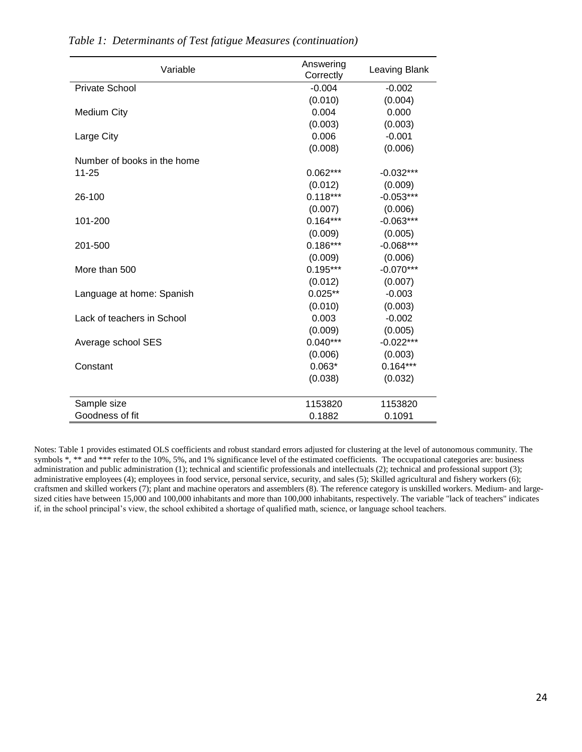| Variable                    | Answering<br>Correctly | Leaving Blank |
|-----------------------------|------------------------|---------------|
| <b>Private School</b>       | $-0.004$               | $-0.002$      |
|                             | (0.010)                | (0.004)       |
| <b>Medium City</b>          | 0.004                  | 0.000         |
|                             | (0.003)                | (0.003)       |
| Large City                  | 0.006                  | $-0.001$      |
|                             | (0.008)                | (0.006)       |
| Number of books in the home |                        |               |
| $11 - 25$                   | $0.062***$             | $-0.032***$   |
|                             | (0.012)                | (0.009)       |
| 26-100                      | $0.118***$             | $-0.053***$   |
|                             | (0.007)                | (0.006)       |
| 101-200                     | $0.164***$             | $-0.063***$   |
|                             | (0.009)                | (0.005)       |
| 201-500                     | $0.186***$             | $-0.068***$   |
|                             | (0.009)                | (0.006)       |
| More than 500               | $0.195***$             | $-0.070***$   |
|                             | (0.012)                | (0.007)       |
| Language at home: Spanish   | $0.025**$              | $-0.003$      |
|                             | (0.010)                | (0.003)       |
| Lack of teachers in School  | 0.003                  | $-0.002$      |
|                             | (0.009)                | (0.005)       |
| Average school SES          | $0.040***$             | $-0.022***$   |
|                             | (0.006)                | (0.003)       |
| Constant                    | $0.063*$               | $0.164***$    |
|                             | (0.038)                | (0.032)       |
| Sample size                 | 1153820                | 1153820       |
| Goodness of fit             | 0.1882                 | 0.1091        |

*Table 1: Determinants of Test fatigue Measures (continuation)*

Notes: Table 1 provides estimated OLS coefficients and robust standard errors adjusted for clustering at the level of autonomous community. The symbols \*, \*\* and \*\*\* refer to the 10%, 5%, and 1% significance level of the estimated coefficients. The occupational categories are: business administration and public administration (1); technical and scientific professionals and intellectuals (2); technical and professional support (3); administrative employees (4); employees in food service, personal service, security, and sales (5); Skilled agricultural and fishery workers (6); craftsmen and skilled workers (7); plant and machine operators and assemblers (8). The reference category is unskilled workers. Medium- and largesized cities have between 15,000 and 100,000 inhabitants and more than 100,000 inhabitants, respectively. The variable "lack of teachers" indicates if, in the school principal's view, the school exhibited a shortage of qualified math, science, or language school teachers.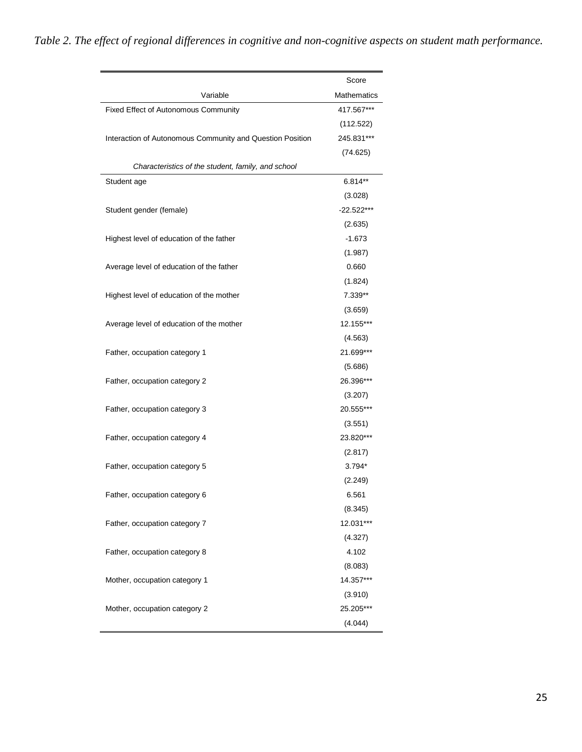*Table 2. The effect of regional differences in cognitive and non-cognitive aspects on student math performance.*

|                                                           | Score              |
|-----------------------------------------------------------|--------------------|
| Variable                                                  | <b>Mathematics</b> |
| Fixed Effect of Autonomous Community                      | 417.567***         |
|                                                           | (112.522)          |
| Interaction of Autonomous Community and Question Position | 245.831***         |
|                                                           | (74.625)           |
| Characteristics of the student, family, and school        |                    |
| Student age                                               | $6.814**$          |
|                                                           | (3.028)            |
| Student gender (female)                                   | -22.522***         |
|                                                           | (2.635)            |
| Highest level of education of the father                  | $-1.673$           |
|                                                           | (1.987)            |
| Average level of education of the father                  | 0.660              |
|                                                           | (1.824)            |
| Highest level of education of the mother                  | 7.339**            |
|                                                           | (3.659)            |
| Average level of education of the mother                  | 12.155***          |
|                                                           | (4.563)            |
| Father, occupation category 1                             | 21.699***          |
|                                                           | (5.686)            |
| Father, occupation category 2                             | 26.396***          |
|                                                           | (3.207)            |
| Father, occupation category 3                             | 20.555***          |
|                                                           | (3.551)            |
| Father, occupation category 4                             | 23.820***          |
|                                                           | (2.817)            |
| Father, occupation category 5                             | 3.794*             |
|                                                           | (2.249)            |
| Father, occupation category 6                             | 6.561              |
|                                                           | (8.345)            |
| Father, occupation category 7                             | 12.031***          |
|                                                           | (4.327)            |
| Father, occupation category 8                             | 4.102              |
|                                                           | (8.083)            |
| Mother, occupation category 1                             | 14.357***          |
|                                                           | (3.910)            |
| Mother, occupation category 2                             | 25.205***          |
|                                                           | (4.044)            |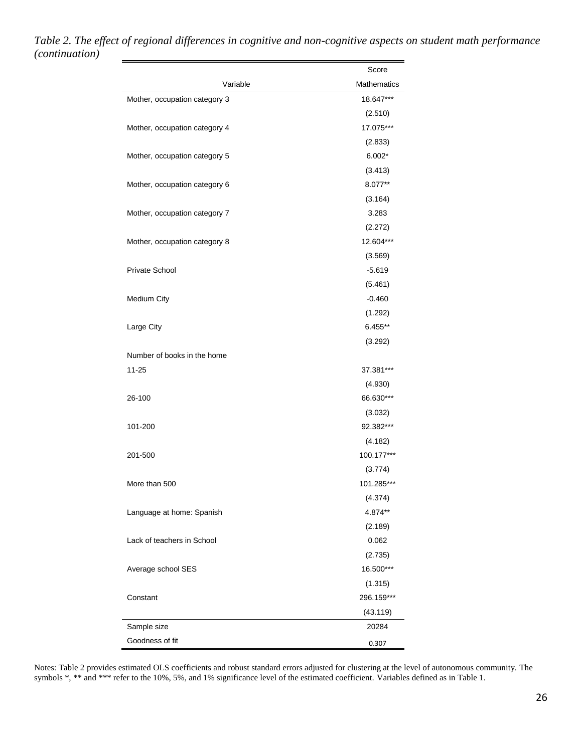|                               | Score       |
|-------------------------------|-------------|
| Variable                      | Mathematics |
| Mother, occupation category 3 | 18.647***   |
|                               | (2.510)     |
| Mother, occupation category 4 | 17.075***   |
|                               | (2.833)     |
| Mother, occupation category 5 | $6.002*$    |
|                               | (3.413)     |
| Mother, occupation category 6 | 8.077**     |
|                               | (3.164)     |
| Mother, occupation category 7 | 3.283       |
|                               | (2.272)     |
| Mother, occupation category 8 | 12.604***   |
|                               | (3.569)     |
| <b>Private School</b>         | $-5.619$    |
|                               | (5.461)     |
| Medium City                   | $-0.460$    |
|                               | (1.292)     |
| Large City                    | $6.455**$   |
|                               | (3.292)     |
| Number of books in the home   |             |
| $11 - 25$                     | 37.381***   |
|                               | (4.930)     |
| 26-100                        | 66.630***   |
|                               | (3.032)     |
| 101-200                       | 92.382***   |
|                               | (4.182)     |
| 201-500                       | 100.177***  |
|                               | (3.774)     |
| More than 500                 | 101.285***  |
|                               | (4.374)     |
| Language at home: Spanish     | 4.874**     |
|                               | (2.189)     |
| Lack of teachers in School    | 0.062       |
|                               | (2.735)     |
| Average school SES            | 16.500***   |
|                               | (1.315)     |
| Constant                      | 296.159***  |
|                               | (43.119)    |
| Sample size                   | 20284       |
| Goodness of fit               | 0.307       |

### *Table 2. The effect of regional differences in cognitive and non-cognitive aspects on student math performance (continuation)*

Notes: Table 2 provides estimated OLS coefficients and robust standard errors adjusted for clustering at the level of autonomous community. The symbols \*, \*\* and \*\*\* refer to the 10%, 5%, and 1% significance level of the estimated coefficient. Variables defined as in Table 1.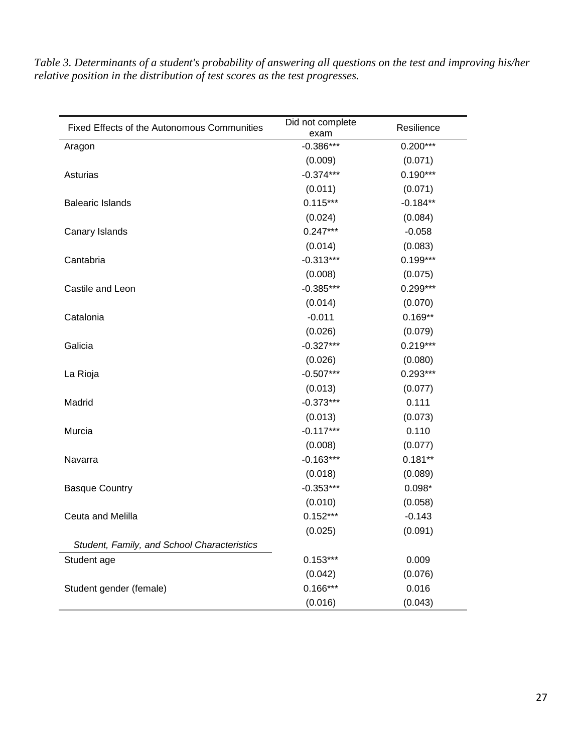| Table 3. Determinants of a student's probability of answering all questions on the test and improving his/her |
|---------------------------------------------------------------------------------------------------------------|
| relative position in the distribution of test scores as the test progresses.                                  |

| <b>Fixed Effects of the Autonomous Communities</b> | Did not complete<br>exam | Resilience |
|----------------------------------------------------|--------------------------|------------|
| Aragon                                             | $-0.386***$              | $0.200***$ |
|                                                    | (0.009)                  | (0.071)    |
| Asturias                                           | $-0.374***$              | $0.190***$ |
|                                                    | (0.011)                  | (0.071)    |
| <b>Balearic Islands</b>                            | $0.115***$               | $-0.184**$ |
|                                                    | (0.024)                  | (0.084)    |
| Canary Islands                                     | $0.247***$               | $-0.058$   |
|                                                    | (0.014)                  | (0.083)    |
| Cantabria                                          | $-0.313***$              | $0.199***$ |
|                                                    | (0.008)                  | (0.075)    |
| Castile and Leon                                   | $-0.385***$              | $0.299***$ |
|                                                    | (0.014)                  | (0.070)    |
| Catalonia                                          | $-0.011$                 | $0.169**$  |
|                                                    | (0.026)                  | (0.079)    |
| Galicia                                            | $-0.327***$              | $0.219***$ |
|                                                    | (0.026)                  | (0.080)    |
| La Rioja                                           | $-0.507***$              | $0.293***$ |
|                                                    | (0.013)                  | (0.077)    |
| Madrid                                             | $-0.373***$              | 0.111      |
|                                                    | (0.013)                  | (0.073)    |
| Murcia                                             | $-0.117***$              | 0.110      |
|                                                    | (0.008)                  | (0.077)    |
| Navarra                                            | $-0.163***$              | $0.181**$  |
|                                                    | (0.018)                  | (0.089)    |
| <b>Basque Country</b>                              | $-0.353***$              | $0.098*$   |
|                                                    | (0.010)                  | (0.058)    |
| Ceuta and Melilla                                  | $0.152***$               | $-0.143$   |
|                                                    | (0.025)                  | (0.091)    |
| Student, Family, and School Characteristics        |                          |            |
| Student age                                        | $0.153***$               | 0.009      |
|                                                    | (0.042)                  | (0.076)    |
| Student gender (female)                            | $0.166***$               | 0.016      |
|                                                    | (0.016)                  | (0.043)    |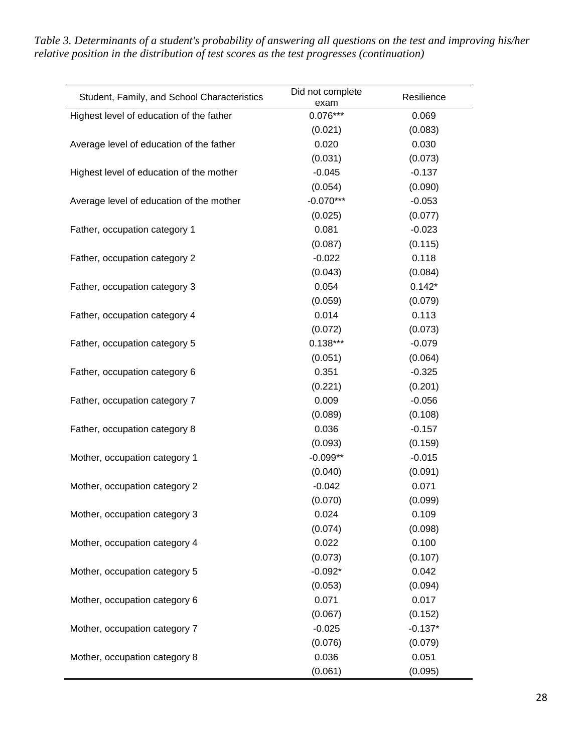Student, Family, and School Characteristics Did not complete exam Resilience Highest level of education of the father  $0.076***$  0.069 (0.021) (0.083) Average level of education of the father  $0.020$  0.030 0.030 (0.031) (0.073) Highest level of education of the mother  $-0.045$  -0.137 (0.054) (0.090) Average level of education of the mother  $-0.070***$  -0.053 (0.025) (0.077) Father, occupation category 1 0.081 -0.023 (0.087) (0.115) Father, occupation category 2  $-0.022$  0.118 (0.043) (0.084) Father, occupation category 3 0.054 0.142<sup>\*</sup> (0.059) (0.079) Father, occupation category 4 0.014 0.014 0.113 (0.072) (0.073) Father, occupation category 5 0.138\*\*\* -0.079 (0.051) (0.064) Father, occupation category 6 0.351 -0.325 (0.221) (0.201) Father, occupation category 7 0.009 -0.056 (0.089) (0.108) Father, occupation category 8 0.036 -0.157 (0.093) (0.159) Mother, occupation category 1  $-0.099**$  -0.099\*\*  $-0.015$ (0.040) (0.091) Mother, occupation category 2  $-0.042$  0.071 (0.070) (0.099) Mother, occupation category 3 0.024 0.109 (0.074) (0.098) Mother, occupation category 4 0.022 0.100 (0.073) (0.107) Mother, occupation category 5  $-0.092*$  0.042 (0.053) (0.094) Mother, occupation category 6 0.071 0.017 (0.067) (0.152) Mother, occupation category 7  $-0.025$  -0.137\* (0.076) (0.079) Mother, occupation category 8 0.036 0.051 (0.061) (0.095)

*Table 3. Determinants of a student's probability of answering all questions on the test and improving his/her relative position in the distribution of test scores as the test progresses (continuation)*